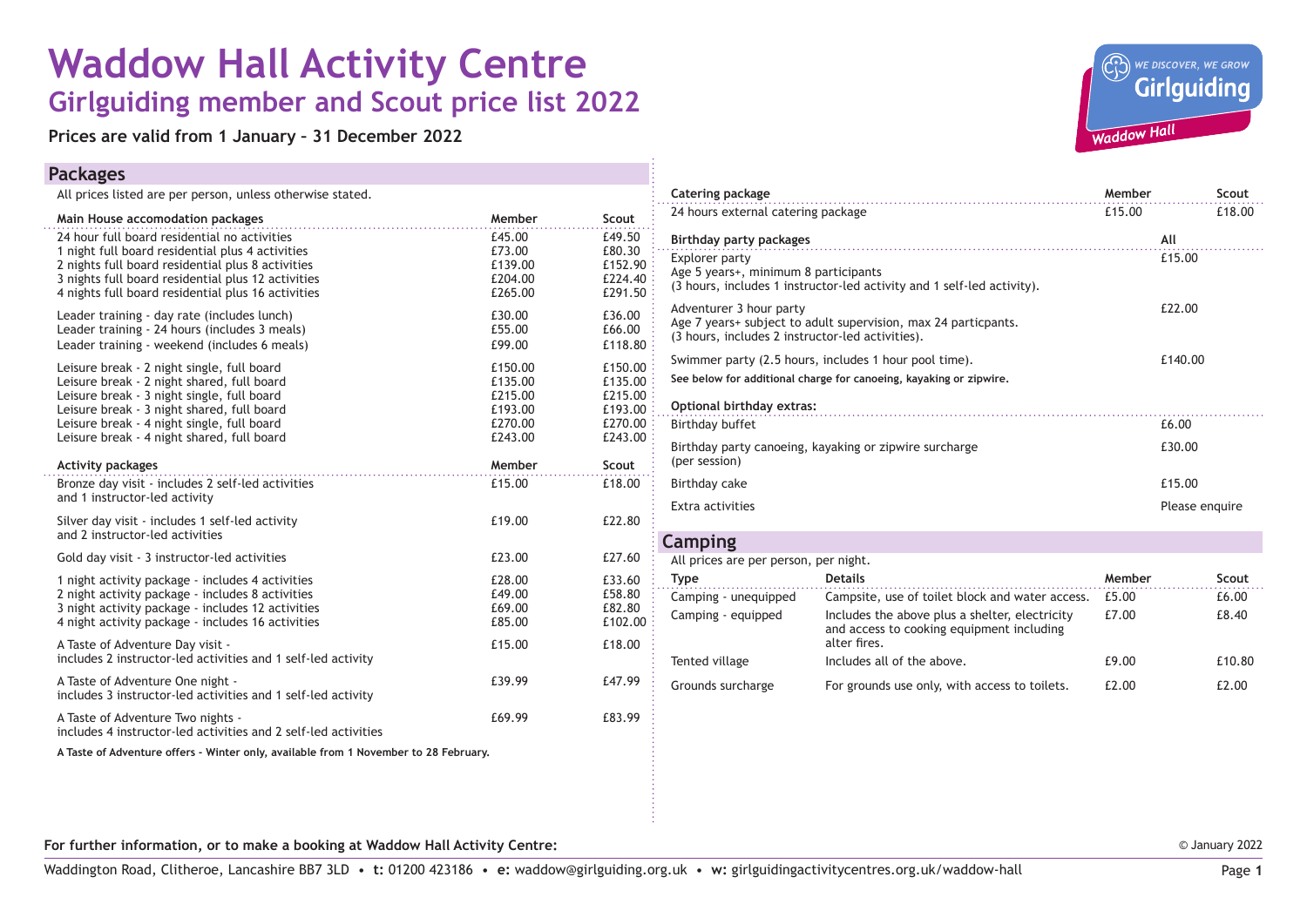# **Waddow Hall Activity Centre Girlguiding member and Scout price list 2022**

**Prices are valid from 1 January – 31 December 2022**

### **Packages**

All prices listed are per person, unless otherwise stated.

| Main House accomodation packages                                                                                                                                                                                                                                                 | Member                                                         | Scout                                                          |
|----------------------------------------------------------------------------------------------------------------------------------------------------------------------------------------------------------------------------------------------------------------------------------|----------------------------------------------------------------|----------------------------------------------------------------|
| 24 hour full board residential no activities<br>1 night full board residential plus 4 activities<br>2 nights full board residential plus 8 activities<br>3 nights full board residential plus 12 activities<br>4 nights full board residential plus 16 activities                | £45.00<br>£73.00<br>£139.00<br>£204.00<br>£265.00              | £49.50<br>£80.30<br>£152.90<br>£224.40<br>£291.50              |
| Leader training - day rate (includes lunch)<br>Leader training - 24 hours (includes 3 meals)<br>Leader training - weekend (includes 6 meals)                                                                                                                                     | £30.00<br>£55.00<br>£99.00                                     | £36.00<br>£66.00<br>£118.80                                    |
| Leisure break - 2 night single, full board<br>Leisure break - 2 night shared, full board<br>Leisure break - 3 night single, full board<br>Leisure break - 3 night shared, full board<br>Leisure break - 4 night single, full board<br>Leisure break - 4 night shared, full board | £150.00<br>£135.00<br>£215.00<br>£193.00<br>£270.00<br>£243.00 | £150.00<br>£135.00<br>£215.00<br>£193.00<br>£270.00<br>£243.00 |
| <b>Activity packages</b>                                                                                                                                                                                                                                                         | Member                                                         | Scout                                                          |
| Bronze day visit - includes 2 self-led activities<br>and 1 instructor-led activity                                                                                                                                                                                               | £15.00                                                         | £18.00                                                         |
| Silver day visit - includes 1 self-led activity<br>and 2 instructor-led activities                                                                                                                                                                                               | £19.00                                                         | £22.80                                                         |
| Gold day visit - 3 instructor-led activities                                                                                                                                                                                                                                     | £23.00                                                         | £27.60                                                         |
| 1 night activity package - includes 4 activities<br>2 night activity package - includes 8 activities<br>3 night activity package - includes 12 activities<br>4 night activity package - includes 16 activities                                                                   | £28.00<br>£49.00<br>£69.00<br>£85.00                           | £33.60<br>£58.80<br>£82.80<br>£102.00                          |
| A Taste of Adventure Day visit -<br>includes 2 instructor-led activities and 1 self-led activity                                                                                                                                                                                 | £15.00                                                         | £18.00                                                         |
| A Taste of Adventure One night -<br>includes 3 instructor-led activities and 1 self-led activity                                                                                                                                                                                 | £39.99                                                         | £47.99                                                         |
| A Taste of Adventure Two nights -<br>includes 4 instructor-led activities and 2 self-led activities                                                                                                                                                                              | £69.99                                                         | £83.99                                                         |
| A Taste of Adventure offers - Winter only, available from 1 November to 28 February.                                                                                                                                                                                             |                                                                |                                                                |



| <b>Catering package</b>                                                                                                                       |                                                                                                             | Member         |        | Scout  |  |
|-----------------------------------------------------------------------------------------------------------------------------------------------|-------------------------------------------------------------------------------------------------------------|----------------|--------|--------|--|
| 24 hours external catering package                                                                                                            |                                                                                                             | £15.00         |        | £18.00 |  |
| Birthday party packages                                                                                                                       |                                                                                                             |                | All    |        |  |
| Explorer party<br>Age 5 years+, minimum 8 participants                                                                                        | (3 hours, includes 1 instructor-led activity and 1 self-led activity).                                      |                | £15.00 |        |  |
| Adventurer 3 hour party<br>Age 7 years+ subject to adult supervision, max 24 particpants.<br>(3 hours, includes 2 instructor-led activities). |                                                                                                             | £22.00         |        |        |  |
| Swimmer party (2.5 hours, includes 1 hour pool time).                                                                                         | £140.00                                                                                                     |                |        |        |  |
| See below for additional charge for canoeing, kayaking or zipwire,                                                                            |                                                                                                             |                |        |        |  |
| Optional birthday extras:                                                                                                                     |                                                                                                             |                |        |        |  |
| Birthday buffet                                                                                                                               |                                                                                                             |                | £6.00  |        |  |
| Birthday party canoeing, kayaking or zipwire surcharge<br>(per session)                                                                       |                                                                                                             | £30.00         |        |        |  |
| Birthday cake                                                                                                                                 |                                                                                                             |                | £15.00 |        |  |
| Extra activities                                                                                                                              |                                                                                                             | Please enquire |        |        |  |
| Camping                                                                                                                                       |                                                                                                             |                |        |        |  |
| All prices are per person, per night.                                                                                                         |                                                                                                             |                |        |        |  |
| <b>Type</b>                                                                                                                                   | <b>Details</b>                                                                                              | Member         |        | Scout  |  |
| Camping - unequipped                                                                                                                          | Campsite, use of toilet block and water access.                                                             | £5.00          |        | £6.00  |  |
| Camping - equipped                                                                                                                            | Includes the above plus a shelter, electricity<br>and access to cooking equipment including<br>alter fires. | £7.00          |        | £8.40  |  |

Tented village Tented village Includes all of the above. E9.00 E10.80 Grounds surcharge For grounds use only, with access to toilets.  $£2.00$  £2.00

**For further information, or to make a booking at Waddow Hall Activity Centre:**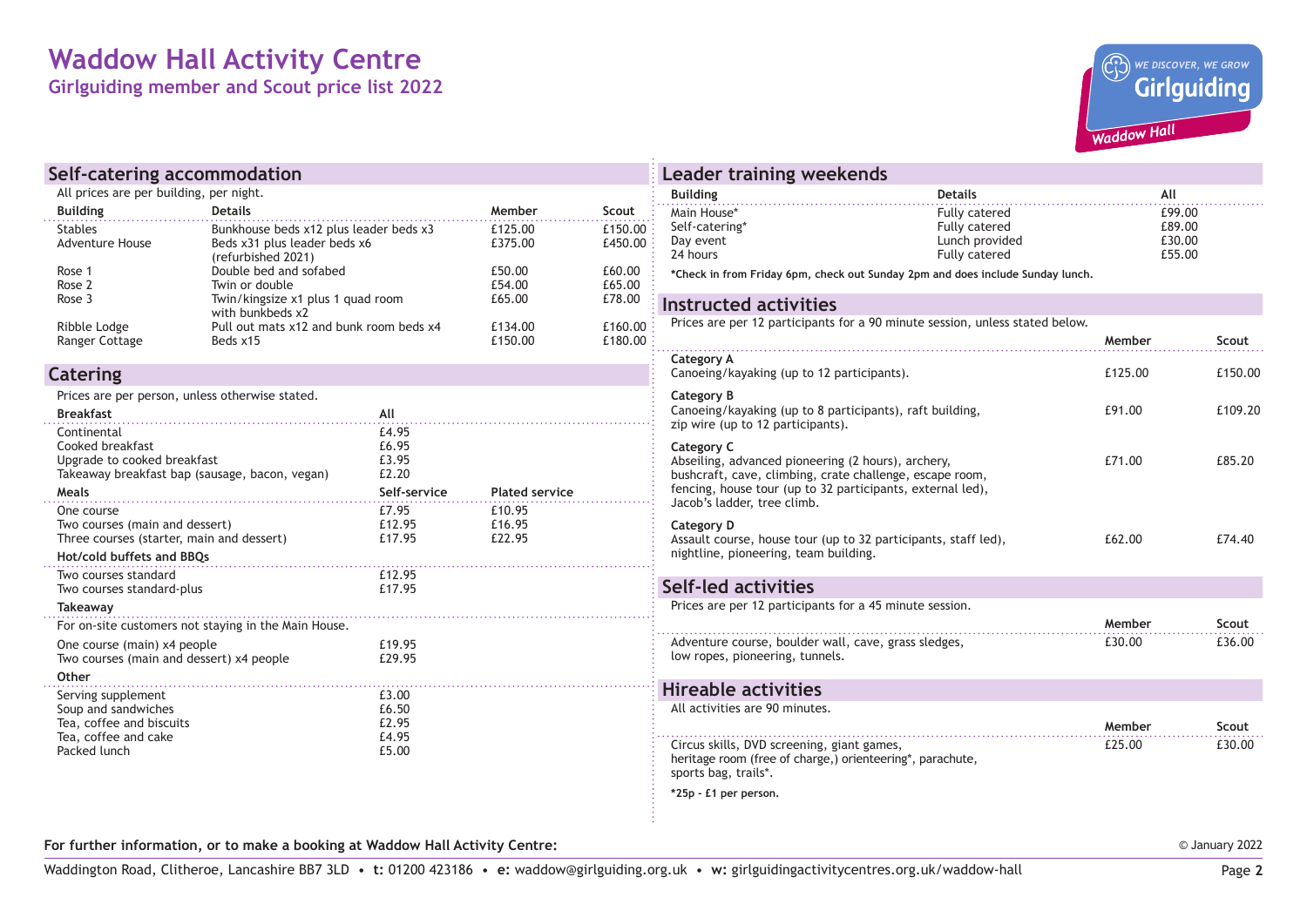## **Waddow Hall Activity Centre**

**Girlguiding member and Scout price list 2022**



| Self-catering accommodation                                                                                               |                                                                                              |                                                  |                            |                    | Leader training weekends                                                                                                        |                                                                                                                        |                            |         |
|---------------------------------------------------------------------------------------------------------------------------|----------------------------------------------------------------------------------------------|--------------------------------------------------|----------------------------|--------------------|---------------------------------------------------------------------------------------------------------------------------------|------------------------------------------------------------------------------------------------------------------------|----------------------------|---------|
| All prices are per building, per night.                                                                                   |                                                                                              |                                                  | <b>Building</b>            | <b>Details</b>     | All                                                                                                                             |                                                                                                                        |                            |         |
| <b>Building</b>                                                                                                           | <b>Details</b>                                                                               |                                                  | Member                     | Scout              | Main House*                                                                                                                     | <b>Fully catered</b>                                                                                                   | £99.00                     |         |
| <b>Stables</b><br><b>Adventure House</b>                                                                                  | Bunkhouse beds x12 plus leader beds x3<br>Beds x31 plus leader beds x6<br>(refurbished 2021) |                                                  | £125.00<br>£375.00         | £150.00<br>£450.00 | Self-catering*<br>Day event<br>24 hours                                                                                         | Fully catered<br>Lunch provided<br>Fully catered                                                                       | £89.00<br>£30.00<br>£55.00 |         |
| Rose 1<br>Rose 2                                                                                                          | Double bed and sofabed<br>Twin or double                                                     |                                                  | £50.00<br>£54.00           | £60.00<br>£65.00   |                                                                                                                                 | *Check in from Friday 6pm, check out Sunday 2pm and does include Sunday lunch.                                         |                            |         |
| Rose 3                                                                                                                    | Twin/kingsize x1 plus 1 quad room<br>with bunkbeds x2                                        |                                                  | £65.00                     | £78.00             | <b>Instructed activities</b>                                                                                                    |                                                                                                                        |                            |         |
| Ribble Lodge<br>Ranger Cottage                                                                                            | Pull out mats x12 and bunk room beds x4<br>Beds x15                                          |                                                  | £134.00<br>£150.00         | £160.00<br>£180.00 | Prices are per 12 participants for a 90 minute session, unless stated below.                                                    |                                                                                                                        | Member                     | Scout   |
| Catering                                                                                                                  |                                                                                              |                                                  |                            |                    | Category A<br>Canoeing/kayaking (up to 12 participants).                                                                        |                                                                                                                        | £125.00                    | £150.00 |
| Prices are per person, unless otherwise stated.<br><b>Breakfast</b>                                                       |                                                                                              | All                                              |                            |                    | Category B<br>Canoeing/kayaking (up to 8 participants), raft building,<br>zip wire (up to 12 participants).                     |                                                                                                                        | £91.00                     | £109.20 |
| Continental<br>Cooked breakfast<br>Upgrade to cooked breakfast<br>Takeaway breakfast bap (sausage, bacon, yegan)<br>Meals |                                                                                              | £4.95<br>£6.95<br>£3.95<br>£2.20<br>Self-service | <b>Plated service</b>      |                    | Category C<br>Abseiling, advanced pioneering (2 hours), archery,                                                                | bushcraft, cave, climbing, crate challenge, escape room,<br>fencing, house tour (up to 32 participants, external led), | £71.00                     | £85.20  |
| One course<br>Two courses (main and dessert)<br>Three courses (starter, main and dessert)<br>Hot/cold buffets and BBQs    |                                                                                              | £7.95<br>£12.95<br>£17.95                        | £10.95<br>£16.95<br>£22.95 |                    | Jacob's ladder, tree climb.<br>Category D<br>nightline, pioneering, team building.                                              | Assault course, house tour (up to 32 participants, staff led),                                                         | £62.00                     | £74.40  |
| Two courses standard<br>Two courses standard-plus                                                                         |                                                                                              | £12.95<br>£17.95                                 |                            |                    | Self-led activities                                                                                                             |                                                                                                                        |                            |         |
| Takeaway                                                                                                                  |                                                                                              |                                                  |                            |                    | Prices are per 12 participants for a 45 minute session.                                                                         |                                                                                                                        |                            |         |
|                                                                                                                           | For on-site customers not staying in the Main House.                                         |                                                  |                            |                    |                                                                                                                                 |                                                                                                                        | Member                     | Scout   |
| One course (main) x4 people<br>Two courses (main and dessert) x4 people                                                   |                                                                                              | £19.95<br>£29.95                                 |                            |                    | Adventure course, boulder wall, cave, grass sledges,<br>low ropes, pioneering, tunnels.                                         |                                                                                                                        | £30.00                     | £36.00  |
| Other                                                                                                                     |                                                                                              |                                                  |                            |                    | <b>Hireable activities</b>                                                                                                      |                                                                                                                        |                            |         |
| Serving supplement<br>Soup and sandwiches<br>Tea, coffee and biscuits                                                     |                                                                                              | £3.00<br>£6.50<br>£2.95                          |                            |                    | All activities are 90 minutes.                                                                                                  |                                                                                                                        | Member                     | Scout   |
| Tea, coffee and cake<br>Packed lunch                                                                                      |                                                                                              | £4.95<br>£5.00                                   |                            |                    | Circus skills, DVD screening, giant games,<br>heritage room (free of charge,) orienteering*, parachute,<br>sports bag, trails*. |                                                                                                                        | £25.00                     | £30.00  |
|                                                                                                                           |                                                                                              |                                                  |                            |                    | *25p - £1 per person.                                                                                                           |                                                                                                                        |                            |         |

**For further information, or to make a booking at Waddow Hall Activity Centre:**